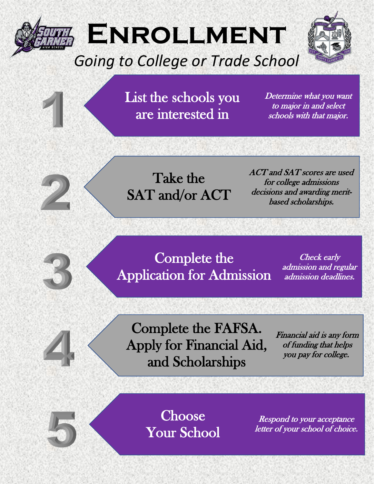

# **Enrollment**

## *Going to College or Trade School*



List the schools you are interested in

Determine what you want to major in and select schools with that major.

Take the SAT and/or ACT ACT and SAT scores are used for college admissions decisions and awarding meritbased scholarships.

Complete the Application for Admission

Check early admission and regular admission deadlines.

Complete the FAFSA. Apply for Financial Aid, and Scholarships

Financial aid is any form of funding that helps you pay for college.

**Choose** Your School

Respond to your acceptance letter of your school of choice.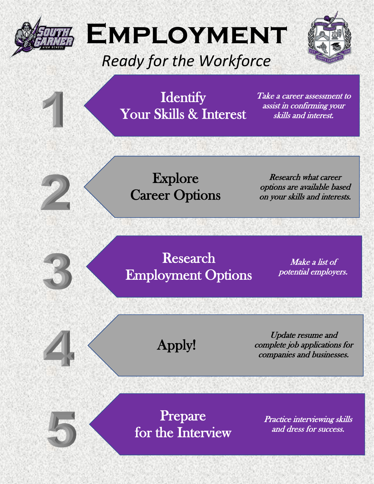

# **Employment**

## *Ready for the Workforce*



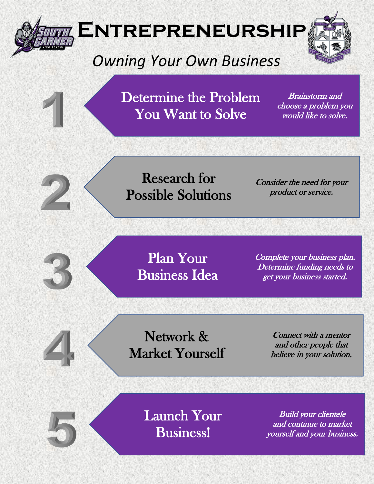

#### Network & Market Yourself

Connect with a mentor and other people that believe in your solution.



Launch Your Business!

Build your clientele and continue to market yourself and your business.